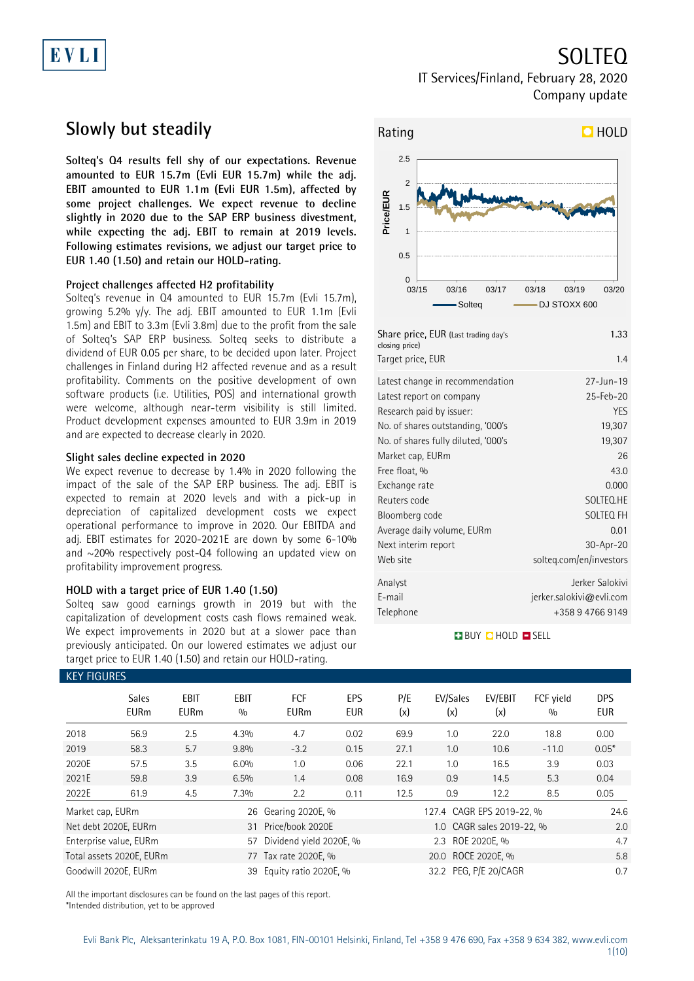# EVLI

SOLTEQ IT Services/Finland, February 28, 2020

Company update

## **Slowly but steadily**

**Solteq's Q4 results fell shy of our expectations. Revenue amounted to EUR 15.7m (Evli EUR 15.7m) while the adj. EBIT amounted to EUR 1.1m (Evli EUR 1.5m), affected by some project challenges. We expect revenue to decline slightly in 2020 due to the SAP ERP business divestment, while expecting the adj. EBIT to remain at 2019 levels. Following estimates revisions, we adjust our target price to EUR 1.40 (1.50) and retain our HOLD-rating.**

### **Project challenges affected H2 profitability**

Solteq's revenue in Q4 amounted to EUR 15.7m (Evli 15.7m), growing 5.2% y/y. The adj. EBIT amounted to EUR 1.1m (Evli 1.5m) and EBIT to 3.3m (Evli 3.8m) due to the profit from the sale of Solteq's SAP ERP business. Solteq seeks to distribute a dividend of EUR 0.05 per share, to be decided upon later. Project challenges in Finland during H2 affected revenue and as a result profitability. Comments on the positive development of own software products (i.e. Utilities, POS) and international growth were welcome, although near-term visibility is still limited. Product development expenses amounted to EUR 3.9m in 2019 and are expected to decrease clearly in 2020.

### **Slight sales decline expected in 2020**

We expect revenue to decrease by 1.4% in 2020 following the impact of the sale of the SAP ERP business. The adj. EBIT is expected to remain at 2020 levels and with a pick-up in depreciation of capitalized development costs we expect operational performance to improve in 2020. Our EBITDA and adj. EBIT estimates for 2020-2021E are down by some 6-10% and  $\sim$ 20% respectively post-Q4 following an updated view on profitability improvement progress.

### **HOLD with a target price of EUR 1.40 (1.50)**

Solteq saw good earnings growth in 2019 but with the capitalization of development costs cash flows remained weak. We expect improvements in 2020 but at a slower pace than previously anticipated. On our lowered estimates we adjust our target price to EUR 1.40 (1.50) and retain our HOLD-rating.



| closing price)<br>Target price, EUR | 1.4                                         |
|-------------------------------------|---------------------------------------------|
| Latest change in recommendation     | $27 - Jun - 19$                             |
| Latest report on company            | 25-Feb-20                                   |
| Research paid by issuer:            | <b>YES</b>                                  |
| No. of shares outstanding, '000's   | 19,307                                      |
| No. of shares fully diluted, '000's | 19,307                                      |
| Market cap, EURm                    | 26                                          |
| Free float, %                       | 43.0                                        |
| Exchange rate                       | 0.000                                       |
| Reuters code                        | SOLTEO.HE                                   |
| Bloomberg code                      | SOLTEQ FH                                   |
| Average daily volume, EURm          | 0.01                                        |
| Next interim report                 | 30-Apr-20                                   |
| Web site                            | solteg.com/en/investors                     |
| Analyst<br>E-mail                   | Jerker Salokivi<br>jerker.salokivi@evli.com |
| Telephone                           | +358 9 4766 9149                            |

### **BUY QHOLD SELL**

| <b>KEY FIGURES</b> |                             |                     |                    |                           |                          |                       |                           |                |                  |                          |
|--------------------|-----------------------------|---------------------|--------------------|---------------------------|--------------------------|-----------------------|---------------------------|----------------|------------------|--------------------------|
|                    | <b>Sales</b><br><b>EURm</b> | EBIT<br><b>EURm</b> | <b>EBIT</b><br>0/0 | <b>FCF</b><br><b>EURm</b> | <b>EPS</b><br><b>EUR</b> | P/E<br>(x)            | EV/Sales<br>(x)           | EV/EBIT<br>(x) | FCF vield<br>0/0 | <b>DPS</b><br><b>EUR</b> |
| 2018               | 56.9                        | 2.5                 | 4.3%               | 4.7                       | 0.02                     | 69.9                  | 1.0                       | 22.0           | 18.8             | 0.00                     |
| 2019               | 58.3                        | 5.7                 | $9.8\%$            | $-3.2$                    | 0.15                     | 27.1                  | 1.0                       | 10.6           | $-11.0$          | $0.05*$                  |
| 2020E              | 57.5                        | 3.5                 | 6.0%               | 1.0                       | 0.06                     | 22.1                  | 1.0                       | 16.5           | 3.9              | 0.03                     |
| 2021E              | 59.8                        | 3.9                 | 6.5%               | 1.4                       | 0.08                     | 16.9                  | 0.9                       | 14.5           | 5.3              | 0.04                     |
| 2022E              | 61.9                        | 4.5                 | 7.3%               | 2.2                       | 0.11                     | 12.5                  | 0.9                       | 12.2           | 8.5              | 0.05                     |
| Market cap, EURm   |                             |                     | 26                 | Gearing 2020E, %          |                          |                       | 127.4 CAGR EPS 2019-22, % | 24.6           |                  |                          |
|                    | Net debt 2020E, EURm        |                     | 31                 | Price/book 2020E          |                          |                       | 1.0 CAGR sales 2019-22, % | 2.0            |                  |                          |
|                    | Enterprise value, EURm      |                     | 57                 | Dividend yield 2020E, %   |                          |                       | 2.3 ROE 2020E, %          |                |                  |                          |
|                    | Total assets 2020E, EURm    |                     | 77                 | Tax rate 2020E, %         |                          | ROCE 2020E, %<br>20.0 |                           |                |                  | 5.8                      |
|                    | Goodwill 2020E, EURm        |                     | 39                 | Equity ratio 2020E, %     |                          |                       | 32.2 PEG, P/E 20/CAGR     |                |                  | 0.7                      |

All the important disclosures can be found on the last pages of this report. \*Intended distribution, yet to be approved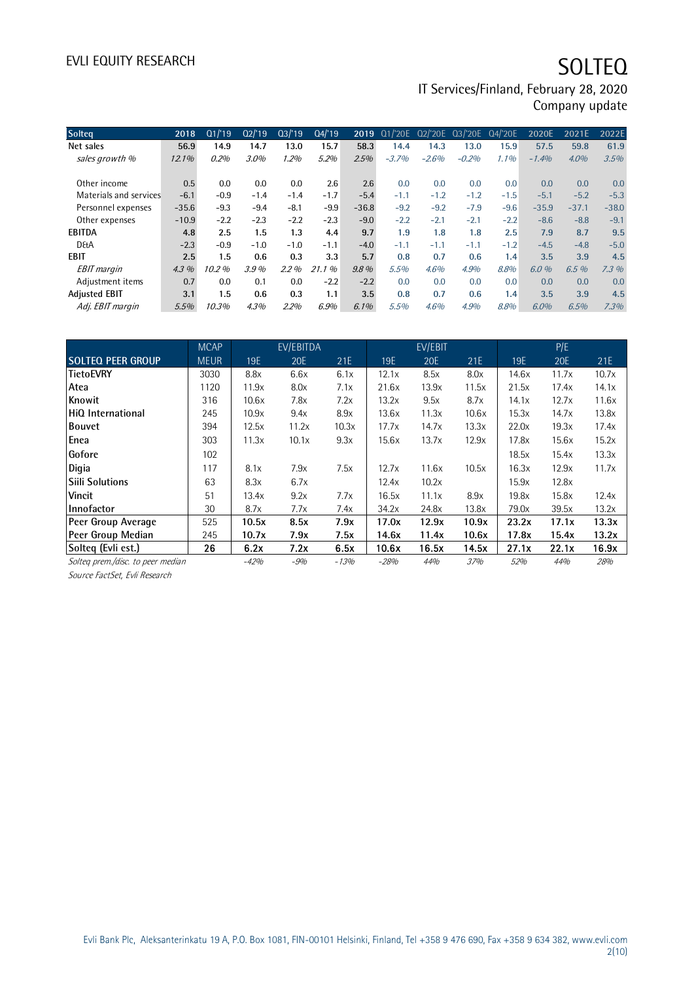# EVLI EQUITY RESEARCH SOLTEQ

IT Services/Finland, February 28, 2020 Company update

| <b>Solteg</b>          | 2018     | Q1/19  | Q2/19  | Q3/19   | Q4/19  | 2019    | Q1/'20E | Q2/'20E | Q3/'20E | Q4/'20E | 2020E   | 2021E   | 2022E   |
|------------------------|----------|--------|--------|---------|--------|---------|---------|---------|---------|---------|---------|---------|---------|
| Net sales              | 56.9     | 14.9   | 14.7   | 13.0    | 15.7   | 58.3    | 14.4    | 14.3    | 13.0    | 15.9    | 57.5    | 59.8    | 61.9    |
| sales growth %         | $12.1\%$ | 0.2%   | 3.0%   | 1.2%    | 5.2%   | 2.5%    | $-3.7%$ | $-2.6%$ | $-0.2%$ | 1.1%    | $-1.4%$ | $4.0\%$ | 3.5%    |
|                        |          |        |        |         |        |         |         |         |         |         |         |         |         |
| Other income           | 0.5      | 0.0    | 0.0    | 0.0     | 2.6    | 2.6     | 0.0     | 0.0     | 0.0     | 0.0     | 0.0     | 0.0     | 0.0     |
| Materials and services | $-6.1$   | $-0.9$ | $-1.4$ | $-1.4$  | $-1.7$ | $-5.4$  | $-1.1$  | $-1.2$  | $-1.2$  | $-1.5$  | $-5.1$  | $-5.2$  | $-5.3$  |
| Personnel expenses     | $-35.6$  | $-9.3$ | $-9.4$ | $-8.1$  | $-9.9$ | $-36.8$ | $-9.2$  | $-9.2$  | $-7.9$  | $-9.6$  | $-35.9$ | $-37.1$ | $-38.0$ |
| Other expenses         | $-10.9$  | $-2.2$ | $-2.3$ | $-2.2$  | $-2.3$ | $-9.0$  | $-2.2$  | $-2.1$  | $-2.1$  | $-2.2$  | $-8.6$  | $-8.8$  | $-9.1$  |
| EBITDA                 | 4.8      | 2.5    | 1.5    | 1.3     | 4.4    | 9.7     | 1.9     | 1.8     | 1.8     | 2.5     | 7.9     | 8.7     | 9.5     |
| <b>D&amp;A</b>         | $-2.3$   | $-0.9$ | $-1.0$ | $-1.0$  | $-1.1$ | $-4.0$  | $-1.1$  | $-1.1$  | $-1.1$  | $-1.2$  | $-4.5$  | $-4.8$  | $-5.0$  |
| EBIT                   | 2.5      | 1.5    | 0.6    | 0.3     | 3.3    | 5.7     | 0.8     | 0.7     | 0.6     | 1.4     | 3.5     | 3.9     | 4.5     |
| <b>EBIT</b> margin     | $4.3\%$  | 10.2%  | 3.9%   | $2.2\%$ | 21.1%  | $9.8\%$ | 5.5%    | 4.6%    | 4.9%    | 8.8%    | 6.0%    | 6.5%    | 7.3%    |
| Adjustment items       | 0.7      | 0.0    | 0.1    | 0.0     | $-2.2$ | $-2.2$  | 0.0     | 0.0     | 0.0     | 0.0     | 0.0     | 0.0     | 0.0     |
| <b>Adjusted EBIT</b>   | 3.1      | 1.5    | 0.6    | 0.3     | 1.1    | 3.5     | 0.8     | 0.7     | 0.6     | 1.4     | 3.5     | 3.9     | 4.5     |
| Adj. EBIT margin       | 5.5%     | 10.3%  | 4.3%   | 2.2%    | 6.9%   | $6.1\%$ | 5.5%    | 4.6%    | 4.9%    | 8.8%    | $6.0\%$ | 6.5%    | 7.3%    |

|                                   | <b>MCAP</b> |        | EV/EBITDA |        |        | EV/EBIT |       |       | P/E   |       |
|-----------------------------------|-------------|--------|-----------|--------|--------|---------|-------|-------|-------|-------|
| <b>SOLTEQ PEER GROUP</b>          | <b>MEUR</b> | 19E    | 20E       | 21E    | 19E    | 20E     | 21E   | 19E   | 20E   | 21E   |
| lTietoEVRY                        | 3030        | 8.8x   | 6.6x      | 6.1x   | 12.1x  | 8.5x    | 8.0x  | 14.6x | 11.7x | 10.7x |
| Atea                              | 1120        | 11.9x  | 8.0x      | 7.1x   | 21.6x  | 13.9x   | 11.5x | 21.5x | 17.4x | 14.1x |
| Knowit                            | 316         | 10.6x  | 7.8x      | 7.2x   | 13.2x  | 9.5x    | 8.7x  | 14.1x | 12.7x | 11.6x |
| <b>HiQ International</b>          | 245         | 10.9x  | 9.4x      | 8.9x   | 13.6x  | 11.3x   | 10.6x | 15.3x | 14.7x | 13.8x |
| <b>Bouvet</b>                     | 394         | 12.5x  | 11.2x     | 10.3x  | 17.7x  | 14.7x   | 13.3x | 22.0x | 19.3x | 17.4x |
| Enea                              | 303         | 11.3x  | 10.1x     | 9.3x   | 15.6x  | 13.7x   | 12.9x | 17.8x | 15.6x | 15.2x |
| Gofore                            | 102         |        |           |        |        |         |       | 18.5x | 15.4x | 13.3x |
| Digia                             | 117         | 8.1x   | 7.9x      | 7.5x   | 12.7x  | 11.6x   | 10.5x | 16.3x | 12.9x | 11.7x |
| <b>Siili Solutions</b>            | 63          | 8.3x   | 6.7x      |        | 12.4x  | 10.2x   |       | 15.9x | 12.8x |       |
| <b>Vincit</b>                     | 51          | 13.4x  | 9.2x      | 7.7x   | 16.5x  | 11.1x   | 8.9x  | 19.8x | 15.8x | 12.4x |
| llnnofactor                       | 30          | 8.7x   | 7.7x      | 7.4x   | 34.2x  | 24.8x   | 13.8x | 79.0x | 39.5x | 13.2x |
| Peer Group Average                | 525         | 10.5x  | 8.5x      | 7.9x   | 17.0x  | 12.9x   | 10.9x | 23.2x | 17.1x | 13.3x |
| Peer Group Median                 | 245         | 10.7x  | 7.9x      | 7.5x   | 14.6x  | 11.4x   | 10.6x | 17.8x | 15.4x | 13.2x |
| Solteg (Evli est.)                | 26          | 6.2x   | 7.2x      | 6.5x   | 10.6x  | 16.5x   | 14.5x | 27.1x | 22.1x | 16.9x |
| Solteg prem./disc. to peer median |             | $-42%$ | $-9%$     | $-13%$ | $-28%$ | 44%     | 37%   | 52%   | 44%   | 28%   |

Solteq prem./disc. to peer media<br>Source FactSet, Evli Research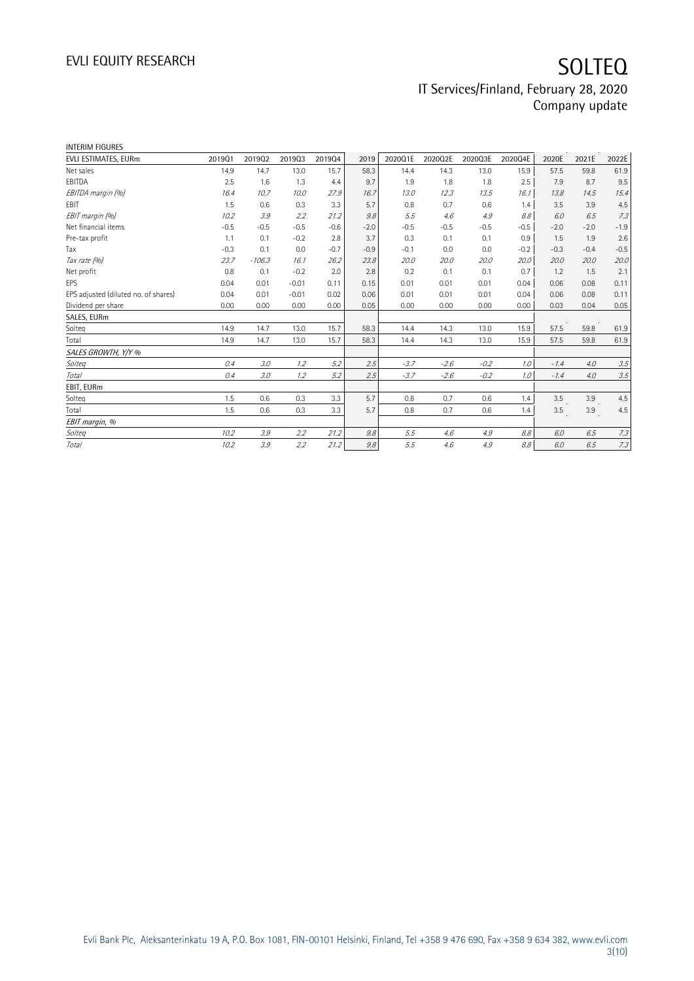| <b>INTERIM FIGURES</b>               |        |          |         |        |        |         |         |         |         |        |        |        |
|--------------------------------------|--------|----------|---------|--------|--------|---------|---------|---------|---------|--------|--------|--------|
| EVLI ESTIMATES, EURm                 | 201901 | 201902   | 201903  | 201904 | 2019   | 2020Q1E | 2020Q2E | 2020Q3E | 2020Q4E | 2020E  | 2021E  | 2022E  |
| Net sales                            | 14.9   | 14.7     | 13.0    | 15.7   | 58.3   | 14.4    | 14.3    | 13.0    | 15.9    | 57.5   | 59.8   | 61.9   |
| EBITDA                               | 2.5    | 1.6      | 1.3     | 4.4    | 9.7    | 1.9     | 1.8     | 1.8     | 2.5     | 7.9    | 8.7    | 9.5    |
| EBITDA margin (%)                    | 16.4   | 10.7     | 10.0    | 27.9   | 16.7   | 13.0    | 12.3    | 13.5    | 16.1    | 13.8   | 14.5   | 15.4   |
| EBIT                                 | 1.5    | 0.6      | 0.3     | 3.3    | 5.7    | 0.8     | 0.7     | 0.6     | 1.4     | 3.5    | 3.9    | 4.5    |
| EBIT margin (%)                      | 10.2   | 3.9      | 2.2     | 21.2   | 9.8    | 5.5     | 4.6     | 4.9     | 8.8     | 6.0    | 6.5    | 7.3    |
| Net financial items                  | $-0.5$ | $-0.5$   | $-0.5$  | $-0.6$ | $-2.0$ | $-0.5$  | $-0.5$  | $-0.5$  | $-0.5$  | $-2.0$ | $-2.0$ | $-1.9$ |
| Pre-tax profit                       | 1.1    | 0.1      | $-0.2$  | 2.8    | 3.7    | 0.3     | 0.1     | 0.1     | 0.9     | 1.5    | 1.9    | 2.6    |
| Tax                                  | $-0.3$ | 0.1      | 0.0     | $-0.7$ | $-0.9$ | $-0.1$  | 0.0     | 0.0     | $-0.2$  | $-0.3$ | $-0.4$ | $-0.5$ |
| Tax rate (%)                         | 23.7   | $-106.3$ | 16.1    | 26.2   | 23.8   | 20.0    | 20.0    | 20.0    | 20.0    | 20.0   | 20.0   | 20.0   |
| Net profit                           | 0.8    | 0.1      | $-0.2$  | 2.0    | 2.8    | 0.2     | 0.1     | 0.1     | 0.7     | 1.2    | 1.5    | 2.1    |
| EPS                                  | 0.04   | 0.01     | $-0.01$ | 0.11   | 0.15   | 0.01    | 0.01    | 0.01    | 0.04    | 0.06   | 0.08   | 0.11   |
| EPS adjusted (diluted no. of shares) | 0.04   | 0.01     | $-0.01$ | 0.02   | 0.06   | 0.01    | 0.01    | 0.01    | 0.04    | 0.06   | 0.08   | 0.11   |
| Dividend per share                   | 0.00   | 0.00     | 0.00    | 0.00   | 0.05   | 0.00    | 0.00    | 0.00    | 0.00    | 0.03   | 0.04   | 0.05   |
| SALES, EURm                          |        |          |         |        |        |         |         |         |         |        |        |        |
| Solteq                               | 14.9   | 14.7     | 13.0    | 15.7   | 58.3   | 14.4    | 14.3    | 13.0    | 15.9    | 57.5   | 59.8   | 61.9   |
| Total                                | 14.9   | 14.7     | 13.0    | 15.7   | 58.3   | 14.4    | 14.3    | 13.0    | 15.9    | 57.5   | 59.8   | 61.9   |
| SALES GROWTH, Y/Y %                  |        |          |         |        |        |         |         |         |         |        |        |        |
| Solteg                               | 0.4    | 3.0      | 1.2     | 5.2    | 2.5    | $-3.7$  | $-2.6$  | $-0.2$  | 1.0     | $-1.4$ | 4.0    | 3.5    |
| Total                                | 0.4    | 3.0      | 1.2     | 5.2    | 2.5    | $-3.7$  | $-2.6$  | $-0.2$  | 1.0     | $-1.4$ | 4.0    | 3.5    |
| EBIT, EURm                           |        |          |         |        |        |         |         |         |         |        |        |        |
| Solteq                               | 1.5    | 0.6      | 0.3     | 3.3    | 5.7    | 0.8     | 0.7     | 0.6     | 1.4     | 3.5    | 3.9    | 4.5    |
| Total                                | 1.5    | 0.6      | 0.3     | 3.3    | 5.7    | 0.8     | 0.7     | 0.6     | 1.4     | 3.5    | 3.9    | 4.5    |
| EBIT margin, %                       |        |          |         |        |        |         |         |         |         |        |        |        |
| Solteg                               | 10.2   | 3.9      | 2.2     | 21.2   | 9.8    | 5.5     | 4.6     | 4.9     | 8.8     | 6.0    | 6.5    | 7.3    |
| Total                                | 10.2   | 3.9      | 2.2     | 21.2   | 9.8    | 5.5     | 4.6     | 4.9     | 8.8     | 6.0    | 6.5    | 7.3    |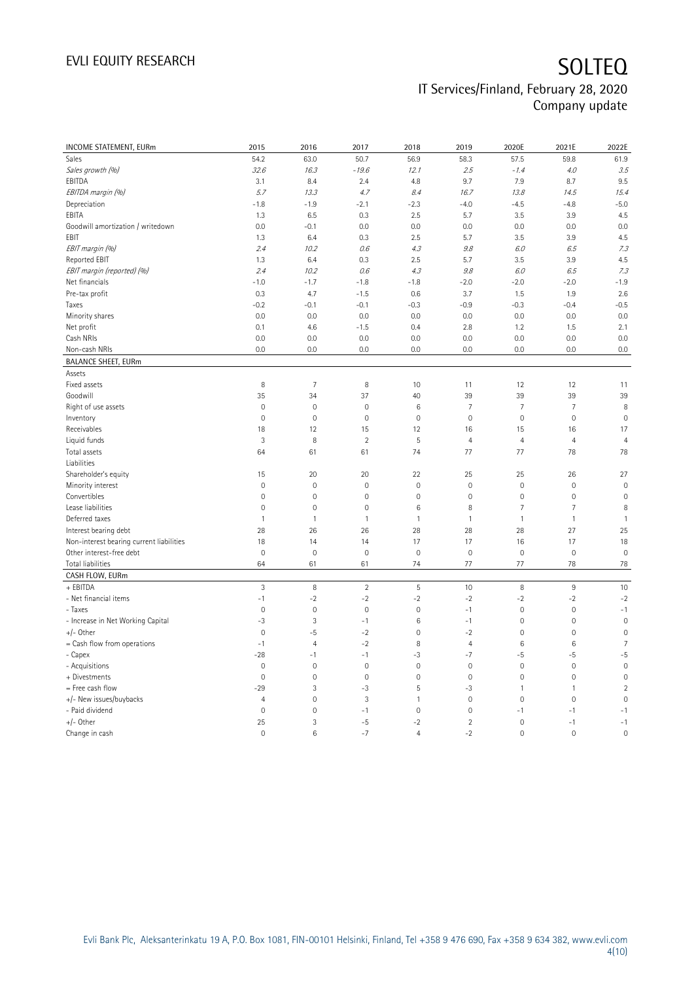| <b>INCOME STATEMENT, EURm</b>            | 2015                | 2016                | 2017           | 2018                | 2019                                   | 2020E               | 2021E           | 2022E                   |
|------------------------------------------|---------------------|---------------------|----------------|---------------------|----------------------------------------|---------------------|-----------------|-------------------------|
| Sales                                    | 54.2                | 63.0                | 50.7           | 56.9                | 58.3                                   | 57.5                | 59.8            | 61.9                    |
| Sales growth (%)                         | 32.6                | 16.3                | $-19.6$        | 12.1                | 2.5                                    | $-1.4$              | 4.0             | 3.5                     |
| EBITDA                                   | 3.1                 | 8.4                 | 2.4            | 4.8                 | 9.7                                    | 7.9                 | 8.7             | 9.5                     |
| EBITDA margin (%)                        | 5.7                 | 13.3                | 4.7            | 8.4                 | 16.7                                   | 13.8                | 14.5            | 15.4                    |
| Depreciation                             | $-1.8$              | $-1.9$              | $-2.1$         | $-2.3$              | $-4.0$                                 | $-4.5$              | $-4.8$          | $-5.0$                  |
| EBITA                                    | 1.3                 | 6.5                 | 0.3            | 2.5                 | 5.7                                    | 3.5                 | 3.9             | 4.5                     |
| Goodwill amortization / writedown        | 0.0                 | $-0.1$              | 0.0            | 0.0                 | 0.0                                    | 0.0                 | 0.0             | 0.0                     |
| EBIT                                     | 1.3                 | 6.4                 | 0.3            | 2.5                 | 5.7                                    | 3.5                 | 3.9             | 4.5                     |
| EBIT margin (%)                          | 2.4                 | 10.2                | 0.6            | 4.3                 | 9.8                                    | 6.0                 | 6.5             | 7.3                     |
| Reported EBIT                            | 1.3                 | 6.4                 | 0.3            | 2.5                 | 5.7                                    | 3.5                 | 3.9             | 4.5                     |
|                                          |                     |                     |                |                     |                                        |                     |                 |                         |
| EBIT margin (reported) (%)               | 2.4                 | 10.2                | 0.6            | 4.3                 | $\mathcal{G}\hspace{-1pt}.\mathcal{S}$ | 6.0                 | 6.5             | 7.3                     |
| Net financials                           | $-1.0$              | $-1.7$              | $-1.8$         | $-1.8$              | $-2.0$                                 | $-2.0$              | $-2.0$          | $-1.9$                  |
| Pre-tax profit                           | 0.3                 | 4.7                 | $-1.5$         | 0.6                 | 3.7                                    | 1.5                 | 1.9             | 2.6                     |
| Taxes                                    | $-0.2$              | $-0.1$              | $-0.1$         | $-0.3$              | $-0.9$                                 | $-0.3$              | $-0.4$          | $-0.5$                  |
| Minority shares                          | 0.0                 | 0.0                 | 0.0            | 0.0                 | 0.0                                    | 0.0                 | 0.0             | 0.0                     |
| Net profit                               | 0.1                 | 4.6                 | $-1.5$         | 0.4                 | 2.8                                    | 1.2                 | 1.5             | 2.1                     |
| Cash NRIs                                | 0.0                 | 0.0                 | 0.0            | 0.0                 | 0.0                                    | 0.0                 | 0.0             | 0.0                     |
| Non-cash NRIs                            | 0.0                 | 0.0                 | 0.0            | 0.0                 | 0.0                                    | 0.0                 | 0.0             | 0.0                     |
| <b>BALANCE SHEET, EURm</b>               |                     |                     |                |                     |                                        |                     |                 |                         |
| Assets                                   |                     |                     |                |                     |                                        |                     |                 |                         |
| Fixed assets                             | 8                   | $\overline{7}$      | 8              | 10                  | 11                                     | 12                  | 12              | 11                      |
| Goodwill                                 | 35                  | 34                  | 37             | 40                  | 39                                     | 39                  | 39              | 39                      |
| Right of use assets                      | $\mathbf 0$         | $\mathsf{O}\xspace$ | $\mathbb O$    | $\,6$               | $\overline{7}$                         | 7                   | $\overline{7}$  | 8                       |
| Inventory                                | $\mathsf 0$         | $\mathbf 0$         | $\mathbf 0$    | $\mathbf 0$         | $\mathbf 0$                            | $\mathsf{O}\xspace$ | $\mathbf 0$     | $\mathbf 0$             |
| Receivables                              | 18                  | 12                  | 15             | 12                  | 16                                     | 15                  | 16              | 17                      |
| Liquid funds                             | 3                   | 8                   | $\overline{2}$ | 5                   | $\overline{4}$                         | $\overline{4}$      | $\overline{4}$  | $\overline{4}$          |
| Total assets                             | 64                  | 61                  | 61             | 74                  | 77                                     | 77                  | 78              | 78                      |
| Liabilities                              |                     |                     |                |                     |                                        |                     |                 |                         |
| Shareholder's equity                     | 15                  | 20                  | 20             | 22                  | 25                                     | 25                  | 26              | 27                      |
| Minority interest                        | $\mathbf 0$         | $\mathbf 0$         | $\mathbf 0$    | $\mathbf 0$         | $\mathbf 0$                            | $\mathsf{O}\xspace$ | $\mathbf 0$     | $\mathbf 0$             |
| Convertibles                             | $\mathsf{O}\xspace$ | $\mathbf 0$         | $\mathbf 0$    | $\mathsf{O}\xspace$ | $\mathbf 0$                            | $\mathsf{O}\xspace$ | $\mathbf 0$     | $\mathsf{O}\xspace$     |
| Lease liabilities                        | $\mathbf 0$         | $\mathbf 0$         | $\mathbf 0$    | 6                   | 8                                      | $\overline{7}$      | $\overline{7}$  | 8                       |
| Deferred taxes                           | $\mathbf{1}$        | $\mathbf{1}$        | $\mathbf{1}$   | $\mathbf{1}$        | $\mathbf{1}$                           | $\mathbf{1}$        | $\mathbf{1}$    | $\mathbf{1}$            |
| Interest bearing debt                    | 28                  | 26                  | 26             | 28                  | 28                                     | 28                  | 27              | 25                      |
| Non-interest bearing current liabilities | 18                  | 14                  | 14             | 17                  | 17                                     | 16                  | 17              | 18                      |
| Other interest-free debt                 | $\mathbf 0$         | $\mathbf 0$         | $\mathbf 0$    | $\mathbf 0$         | $\mathbf 0$                            | $\mathsf{O}\xspace$ | $\mathbf 0$     | $\mathbf 0$             |
| Total liabilities                        | 64                  | 61                  | 61             | 74                  | 77                                     | 77                  | 78              | 78                      |
| CASH FLOW, EURm                          |                     |                     |                |                     |                                        |                     |                 |                         |
| + EBITDA                                 | $\mathbf{3}$        | 8                   | $\overline{2}$ | $\overline{5}$      | 10                                     | 8                   | $\,9$           | 10                      |
| - Net financial items                    | $-1$                | $-2$                | $-2$           | $-2$                | $-2$                                   | $-2$                | $-2$            | $-2$                    |
| - Taxes                                  | $\mathbf 0$         | $\mathbf 0$         | $\mathbf 0$    | $\mathbf 0$         | $-1$                                   | $\mathsf{O}\xspace$ | $\mathbf 0$     | $-1$                    |
| - Increase in Net Working Capital        | -3                  | 3                   | $-1$           | $6\phantom{a}$      | $-1$                                   | $\mathsf{O}\xspace$ | $\mathbb O$     | $\mathbf 0$             |
| +/- Other                                | $\mathbf 0$         | $-5$                | $-2$           | $\mathbf 0$         | $-2$                                   | $\mathsf{O}\xspace$ | $\mathbf 0$     | $\mathsf{O}\xspace$     |
| = Cash flow from operations              | $-1$                | $\overline{4}$      | $-2$           | 8                   | $\overline{4}$                         | 6                   | $6\phantom{1}6$ | $\overline{7}$          |
| - Capex                                  | $-28$               | $-1$                | $-1$           | $-3$                | $-7$                                   | $-5$                | -5              | $-5$                    |
| - Acquisitions                           | $\mathbf 0$         | $\mathbf 0$         | $\mathbf 0$    | $\mathbf 0$         | $\mathbf 0$                            | $\mathbf{0}$        | $\mathbf 0$     | $\mathbf 0$             |
| + Divestments                            | $\overline{0}$      | $\mathbf 0$         | $\mathbf 0$    | $\mathbf 0$         | $\mathbf 0$                            | $\mathsf{O}\xspace$ | $\mathbf 0$     | $\mathsf{O}\xspace$     |
| = Free cash flow                         | $-29$               | 3                   | -3             | 5                   | $-3$                                   | $\mathbf{1}$        | $\overline{1}$  | $\overline{\mathbf{c}}$ |
| +/- New issues/buybacks                  | $\overline{4}$      | $\mathbf 0$         | $\mathbf{3}$   | 1                   | $\mathbf 0$                            | $\mathsf{O}\xspace$ | $\mathbf 0$     | $\mathbf 0$             |
| - Paid dividend                          | $\mathbf 0$         | $\mathbf 0$         | $-1$           | $\mathbf{0}$        | $\mathbf 0$                            | $-1$                | $-1$            | $-1$                    |
| $+/-$ Other                              | 25                  | $\overline{3}$      | $-5$           | $-2$                | $\overline{2}$                         | $\mathsf{O}\xspace$ | $-1$            | $-1$                    |
|                                          | $\overline{0}$      | 6                   | $-7$           | $\overline{4}$      | $-2$                                   | $\mathbf 0$         | $\mathbf 0$     | $\mathsf{O}\xspace$     |
| Change in cash                           |                     |                     |                |                     |                                        |                     |                 |                         |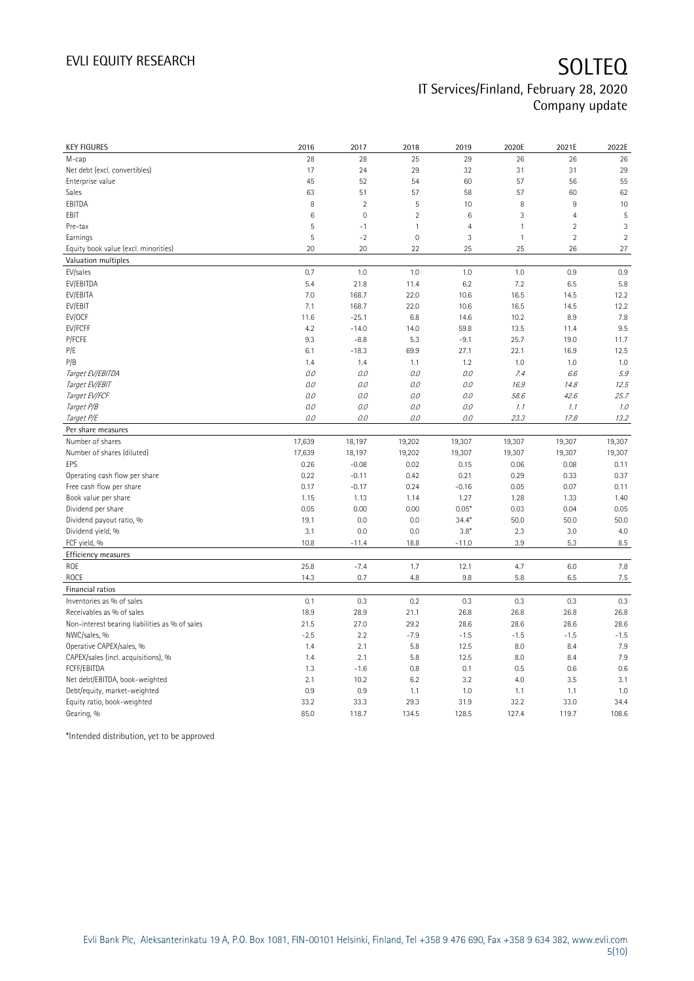| <b>KEY FIGURES</b>                             | 2016    | 2017           | 2018           | 2019           | 2020E        | 2021E          | 2022E          |
|------------------------------------------------|---------|----------------|----------------|----------------|--------------|----------------|----------------|
| M-cap                                          | 28      | 28             | 25             | 29             | 26           | 26             | 26             |
| Net debt (excl. convertibles)                  | 17      | 24             | 29             | 32             | 31           | 31             | 29             |
| Enterprise value                               | 45      | 52             | 54             | 60             | 57           | 56             | 55             |
| Sales                                          | 63      | 51             | 57             | 58             | 57           | 60             | 62             |
| EBITDA                                         | 8       | $\overline{2}$ | 5              | 10             | 8            | $\mathsf g$    | 10             |
| EBIT                                           | 6       | $\mathbf 0$    | $\sqrt{2}$     | $\,6$          | 3            | $\overline{4}$ | 5              |
| Pre-tax                                        | 5       | $-1$           | $\mathbf{1}$   | $\overline{4}$ | $\mathbf{1}$ | $\overline{2}$ | 3              |
| Earnings                                       | 5       | $-2$           | $\overline{0}$ | 3              | $\mathbf{1}$ | $\overline{2}$ | $\overline{2}$ |
| Equity book value (excl. minorities)           | 20      | 20             | 22             | 25             | 25           | 26             | 27             |
| Valuation multiples                            |         |                |                |                |              |                |                |
| EV/sales                                       | 0.7     | 1.0            | 1.0            | 1.0            | 1.0          | 0.9            | 0.9            |
| EV/EBITDA                                      | 5.4     | 21.8           | 11.4           | 6.2            | 7.2          | 6.5            | 5.8            |
| EV/EBITA                                       | 7.0     | 168.7          | 22.0           | 10.6           | 16.5         | 14.5           | 12.2           |
| EV/EBIT                                        | 7.1     | 168.7          | 22.0           | 10.6           | 16.5         | 14.5           | 12.2           |
| EV/OCF                                         | 11.6    | $-25.1$        | 6.8            | 14.6           | 10.2         | 8.9            | 7.8            |
| EV/FCFF                                        | 4.2     | $-14.0$        | 14.0           | 59.8           | 13.5         | 11.4           | 9.5            |
| P/FCFE                                         | 9.3     | $-8.8$         | 5.3            | $-9.1$         | 25.7         | 19.0           | 11.7           |
| P/E                                            | 6.1     | $-18.3$        | 69.9           | 27.1           | 22.1         | 16.9           | 12.5           |
| P/B                                            | 1.4     | 1.4            | 1.1            | 1.2            | 1.0          | 1.0            | 1.0            |
| Target EV/EBITDA                               | $0.0\,$ | 0.0            | 0.0            | $O.O$          | 7.4          | 6.6            | 5.9            |
| Target EV/EBIT                                 | O.O     | 0.0            | 0.0            | 0.0            | 16.9         | 14.8           | 12.5           |
| Target EV/FCF                                  | $0.0$   | 0.0            | 0.0            | $O.O$          | 58.6         | 42.6           | 25.7           |
| Target P/B                                     | O.O     | 0.0            | 0.0            | 0.0            | 1.1          | 1.1            | 1.0            |
| Target P/E                                     | 0.0     | 0.0            | $O.O$          | $O.O$          | 23.3         | 17.8           | 13.2           |
| Per share measures                             |         |                |                |                |              |                |                |
| Number of shares                               | 17,639  | 18,197         | 19,202         | 19,307         | 19,307       | 19,307         | 19,307         |
| Number of shares (diluted)                     | 17,639  | 18,197         | 19,202         | 19,307         | 19,307       | 19,307         | 19,307         |
| EPS                                            | 0.26    | $-0.08$        | 0.02           | 0.15           | 0.06         | 0.08           | 0.11           |
| Operating cash flow per share                  | 0.22    | $-0.11$        | 0.42           | 0.21           | 0.29         | 0.33           | 0.37           |
| Free cash flow per share                       | 0.17    | $-0.17$        | 0.24           | $-0.16$        | 0.05         | 0.07           | 0.11           |
| Book value per share                           | 1.15    | 1.13           | 1.14           | 1.27           | 1.28         | 1.33           | 1.40           |
| Dividend per share                             | 0.05    | 0.00           | 0.00           | $0.05*$        | 0.03         | 0.04           | 0.05           |
| Dividend payout ratio, %                       | 19.1    | 0.0            | 0.0            | $34.4*$        | 50.0         | 50.0           | 50.0           |
| Dividend yield, %                              | 3.1     | 0.0            | 0.0            | $3.8*$         | 2.3          | 3.0            | 4.0            |
| FCF yield, %                                   | 10.8    | $-11.4$        | 18.8           | $-11.0$        | 3.9          | 5.3            | $8.5\,$        |
| Efficiency measures                            |         |                |                |                |              |                |                |
| ROE                                            | 25.8    | $-7.4$         | 1.7            | 12.1           | 4.7          | 6.0            | 7.8            |
| <b>ROCE</b>                                    | 14.3    | 0.7            | 4.8            | 9.8            | 5.8          | 6.5            | $7.5\,$        |
| Financial ratios                               |         |                |                |                |              |                |                |
| Inventories as % of sales                      | 0.1     | 0.3            | 0.2            | 0.3            | 0.3          | 0.3            | 0.3            |
| Receivables as % of sales                      | 18.9    | 28.9           | 21.1           | 26.8           | 26.8         | 26.8           | 26.8           |
| Non-interest bearing liabilities as % of sales | 21.5    | 27.0           | 29.2           | 28.6           | 28.6         | 28.6           | 28.6           |
| NWC/sales, %                                   | $-2.5$  | 2.2            | $-7.9$         | $-1.5$         | $-1.5$       | $-1.5$         | $-1.5$         |
| Operative CAPEX/sales, %                       | 1.4     | 2.1            | 5.8            | 12.5           | 8.0          | 8.4            | 7.9            |
| CAPEX/sales (incl. acquisitions), %            | 1.4     | 2.1            | 5.8            | 12.5           | 8.0          | 8.4            | 7.9            |
| FCFF/EBITDA                                    | 1.3     | $-1.6$         | 0.8            | 0.1            | 0.5          | 0.6            | 0.6            |
| Net debt/EBITDA, book-weighted                 | 2.1     | 10.2           | 6.2            | 3.2            | 4.0          | 3.5            | 3.1            |
| Debt/equity, market-weighted                   | 0.9     | 0.9            | 1.1            | 1.0            | 1.1          | 1.1            | 1.0            |
| Equity ratio, book-weighted                    | 33.2    | 33.3           | 29.3           | 31.9           | 32.2         |                | 34.4           |
|                                                |         |                |                |                |              |                |                |
| Gearing, %                                     | 85.0    | 118.7          | 134.5          | 128.5          | 127.4        | 33.0<br>119.7  | 108.6          |

\*Intended distribution, yet to be approved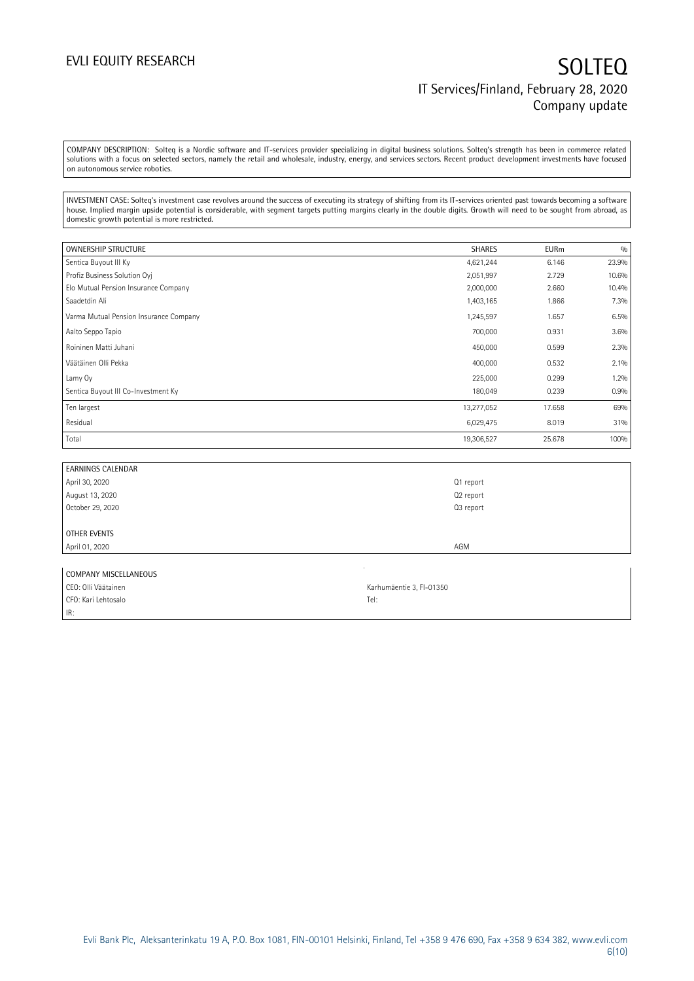COMPANY DESCRIPTION: Solteq is a Nordic software and IT-services provider specializing in digital business solutions. Solteq's strength has been in commerce related solutions with a focus on selected sectors, namely the retail and wholesale, industry, energy, and services sectors. Recent product development investments have focused on autonomous service robotics.

INVESTMENT CASE: Solteq's investment case revolves around the success of executing its strategy of shifting from its IT-services oriented past towards becoming a software house. Implied margin upside potential is considerable, with segment targets putting margins clearly in the double digits. Growth will need to be sought from abroad, as domestic growth potential is more restricted.

| <b>OWNERSHIP STRUCTURE</b>             | <b>SHARES</b> | <b>EURm</b> | 0/0   |
|----------------------------------------|---------------|-------------|-------|
| Sentica Buyout III Ky                  | 4,621,244     | 6.146       | 23.9% |
| Profiz Business Solution Ovi           | 2,051,997     | 2.729       | 10.6% |
| Elo Mutual Pension Insurance Company   | 2,000,000     | 2.660       | 10.4% |
| Saadetdin Ali                          | 1,403,165     | 1.866       | 7.3%  |
| Varma Mutual Pension Insurance Company | 1,245,597     | 1.657       | 6.5%  |
| Aalto Seppo Tapio                      | 700,000       | 0.931       | 3.6%  |
| Roininen Matti Juhani                  | 450,000       | 0.599       | 2.3%  |
| Väätäinen Olli Pekka                   | 400,000       | 0.532       | 2.1%  |
| Lamy Oy                                | 225,000       | 0.299       | 1.2%  |
| Sentica Buyout III Co-Investment Ky    | 180,049       | 0.239       | 0.9%  |
| Ten largest                            | 13,277,052    | 17.658      | 69%   |
| Residual                               | 6,029,475     | 8.019       | 31%   |
| Total                                  | 19,306,527    | 25.678      | 100%  |

| <b>EARNINGS CALENDAR</b> |           |
|--------------------------|-----------|
| April 30, 2020           | Q1 report |
| August 13, 2020          | Q2 report |
| October 29, 2020         | Q3 report |
|                          |           |
| OTHER EVENTS             |           |
| April 01, 2020           | AGM       |
|                          |           |

| COMPANY MISCELLANEOUS |                          |
|-----------------------|--------------------------|
| CEO: Olli Väätainen   | Karhumäentie 3, FI-01350 |
| CFO: Kari Lehtosalo   | Tel.                     |
| IR:                   |                          |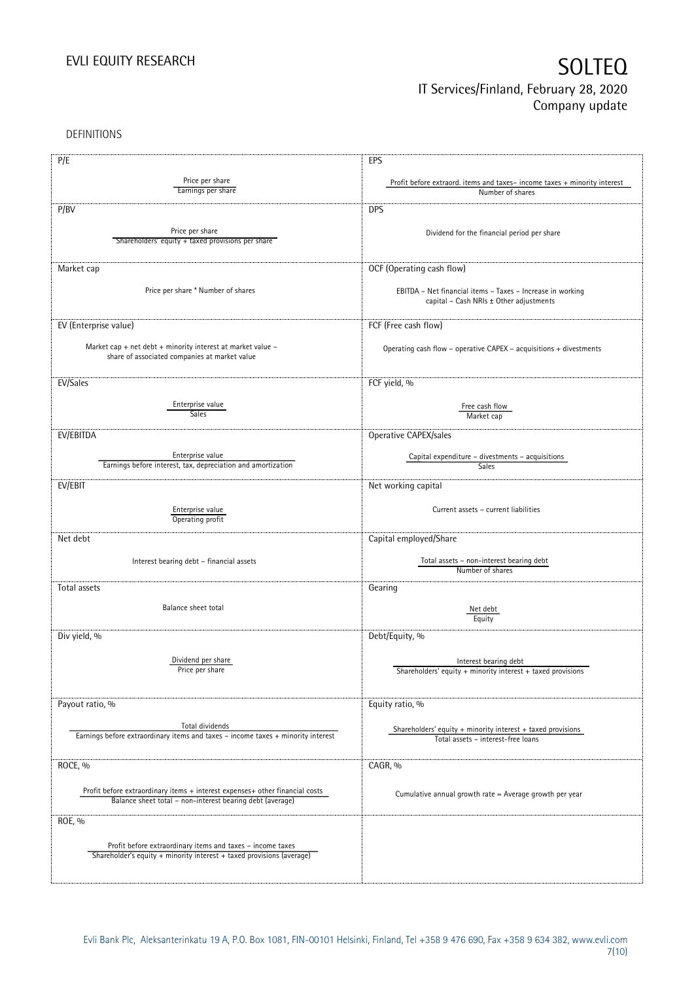DEFINITIONS

| P/E                                                                              | EPS                                                                                  |
|----------------------------------------------------------------------------------|--------------------------------------------------------------------------------------|
|                                                                                  |                                                                                      |
| Price per share<br>Earnings per share                                            | Profit before extraord. items and taxes-income taxes + minority interest             |
|                                                                                  | Number of shares                                                                     |
| P/BV                                                                             | <b>DPS</b>                                                                           |
|                                                                                  |                                                                                      |
| Price per share                                                                  | Dividend for the financial period per share                                          |
| Shareholders' equity + taxed provisions per share                                |                                                                                      |
|                                                                                  |                                                                                      |
| Market cap                                                                       | OCF (Operating cash flow)                                                            |
|                                                                                  |                                                                                      |
| Price per share * Number of shares                                               | EBITDA - Net financial items - Taxes - Increase in working                           |
|                                                                                  | capital - Cash NRIs ± Other adjustments                                              |
|                                                                                  |                                                                                      |
| EV (Enterprise value)                                                            | FCF (Free cash flow)                                                                 |
|                                                                                  |                                                                                      |
| Market cap + net debt + minority interest at market value $-$                    | Operating cash flow - operative CAPEX - acquisitions + divestments                   |
| share of associated companies at market value                                    |                                                                                      |
|                                                                                  |                                                                                      |
| EV/Sales                                                                         | FCF yield, %                                                                         |
|                                                                                  |                                                                                      |
| Enterprise value                                                                 | Free cash flow                                                                       |
| Sales                                                                            | Market cap                                                                           |
| EV/EBITDA                                                                        | Operative CAPEX/sales                                                                |
|                                                                                  |                                                                                      |
| Enterprise value                                                                 | Capital expenditure - divestments - acquisitions                                     |
| Earnings before interest, tax, depreciation and amortization                     | Sales                                                                                |
|                                                                                  |                                                                                      |
| EV/EBIT                                                                          | Net working capital                                                                  |
|                                                                                  |                                                                                      |
| Enterprise value                                                                 | Current assets - current liabilities                                                 |
| Operating profit                                                                 |                                                                                      |
| Net debt                                                                         | Capital employed/Share                                                               |
|                                                                                  |                                                                                      |
| Interest bearing debt - financial assets                                         | Total assets - non-interest bearing debt                                             |
|                                                                                  | Number of shares                                                                     |
| Total assets                                                                     | Gearing                                                                              |
|                                                                                  |                                                                                      |
| Balance sheet total                                                              | Net debt                                                                             |
|                                                                                  | Equity                                                                               |
| Div yield, %                                                                     | Debt/Equity, %                                                                       |
|                                                                                  |                                                                                      |
| Dividend per share                                                               |                                                                                      |
| Price per share                                                                  | Interest bearing debt<br>Shareholders' equity + minority interest + taxed provisions |
|                                                                                  |                                                                                      |
|                                                                                  |                                                                                      |
| Payout ratio, %                                                                  | Equity ratio, %                                                                      |
|                                                                                  |                                                                                      |
| Total dividends                                                                  | Shareholders' equity $+$ minority interest $+$ taxed provisions                      |
| Earnings before extraordinary items and taxes - income taxes + minority interest | Total assets - interest-free loans                                                   |
|                                                                                  |                                                                                      |
| ROCE, %                                                                          | CAGR, %                                                                              |
|                                                                                  |                                                                                      |
| Profit before extraordinary items + interest expenses+ other financial costs     |                                                                                      |
| Balance sheet total - non-interest bearing debt (average)                        | Cumulative annual growth rate = Average growth per year                              |
|                                                                                  |                                                                                      |
| ROE, %                                                                           |                                                                                      |
|                                                                                  |                                                                                      |
| Profit before extraordinary items and taxes - income taxes                       |                                                                                      |
| Shareholder's equity + minority interest + taxed provisions (average)            |                                                                                      |
|                                                                                  |                                                                                      |
|                                                                                  |                                                                                      |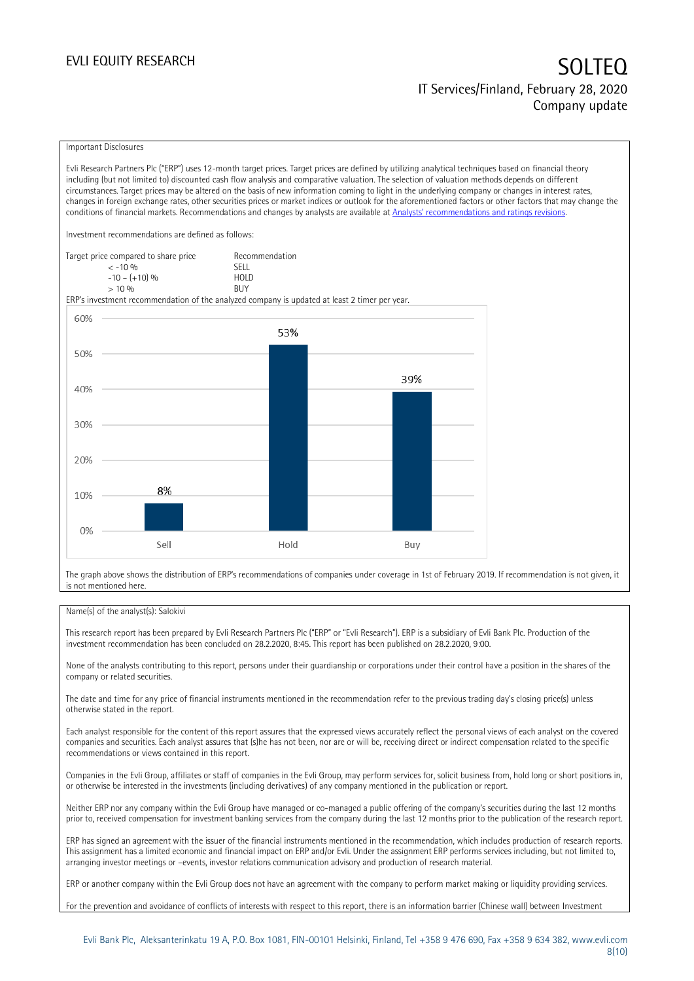### Important Disclosures

Evli Research Partners Plc ("ERP") uses 12-month target prices. Target prices are defined by utilizing analytical techniques based on financial theory including (but not limited to) discounted cash flow analysis and comparative valuation. The selection of valuation methods depends on different circumstances. Target prices may be altered on the basis of new information coming to light in the underlying company or changes in interest rates, changes in foreign exchange rates, other securities prices or market indices or outlook for the aforementioned factors or other factors that may change the conditions of financial markets. Recommendations and changes by analysts are available at [Analysts' recommendations and ratings revisions](https://research.evli.com/JasperAllModels.action?authParam=key;461&authParam=x;G3rNagWrtf7K&authType=3).

Investment recommendations are defined as follows:

| Target price compared to share price | Recommendation                |
|--------------------------------------|-------------------------------|
| $<-10.06$                            | <b>SFII</b>                   |
| $-10 - (+10)$ %                      | H <sub>O</sub> I <sub>D</sub> |
| $> 10\%$                             | <b>BUY</b>                    |

ERP's investment recommendation of the analyzed company is updated at least 2 timer per year.



The graph above shows the distribution of ERP's recommendations of companies under coverage in 1st of February 2019. If recommendation is not given, it is not mentioned here.

### Name(s) of the analyst(s): Salokivi

This research report has been prepared by Evli Research Partners Plc ("ERP" or "Evli Research"). ERP is a subsidiary of Evli Bank Plc. Production of the investment recommendation has been concluded on 28.2.2020, 8:45. This report has been published on 28.2.2020, 9:00.

None of the analysts contributing to this report, persons under their guardianship or corporations under their control have a position in the shares of the company or related securities.

The date and time for any price of financial instruments mentioned in the recommendation refer to the previous trading day's closing price(s) unless otherwise stated in the report.

Each analyst responsible for the content of this report assures that the expressed views accurately reflect the personal views of each analyst on the covered companies and securities. Each analyst assures that (s)he has not been, nor are or will be, receiving direct or indirect compensation related to the specific recommendations or views contained in this report.

Companies in the Evli Group, affiliates or staff of companies in the Evli Group, may perform services for, solicit business from, hold long or short positions in, or otherwise be interested in the investments (including derivatives) of any company mentioned in the publication or report.

Neither ERP nor any company within the Evli Group have managed or co-managed a public offering of the company's securities during the last 12 months prior to, received compensation for investment banking services from the company during the last 12 months prior to the publication of the research report.

ERP has signed an agreement with the issuer of the financial instruments mentioned in the recommendation, which includes production of research reports. This assignment has a limited economic and financial impact on ERP and/or Evli. Under the assignment ERP performs services including, but not limited to, arranging investor meetings or –events, investor relations communication advisory and production of research material.

ERP or another company within the Evli Group does not have an agreement with the company to perform market making or liquidity providing services.

For the prevention and avoidance of conflicts of interests with respect to this report, there is an information barrier (Chinese wall) between Investment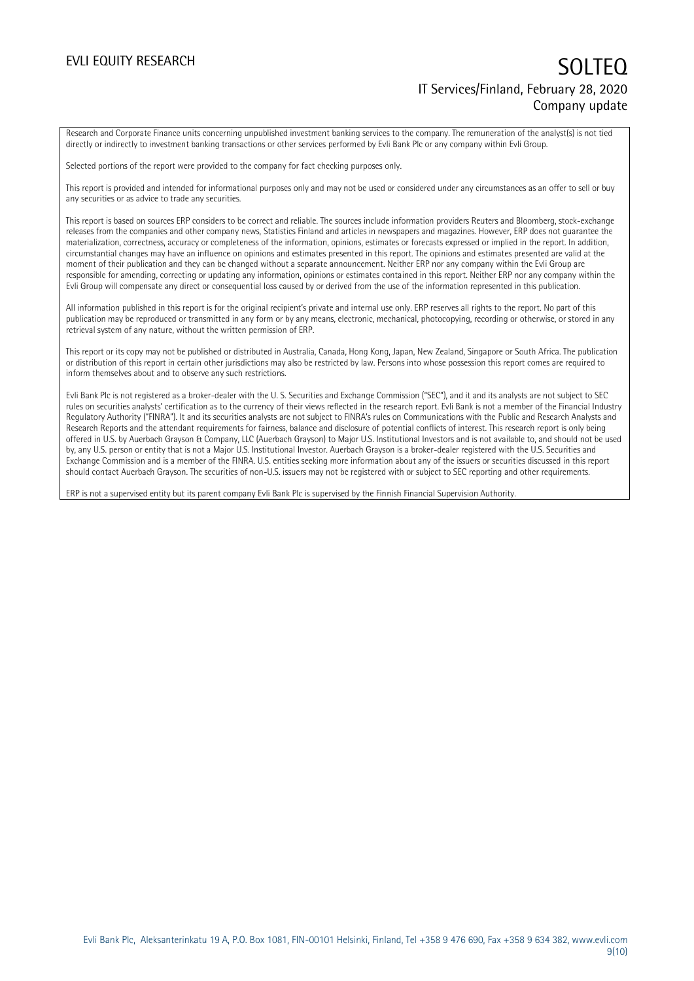Research and Corporate Finance units concerning unpublished investment banking services to the company. The remuneration of the analyst(s) is not tied directly or indirectly to investment banking transactions or other services performed by Evli Bank Plc or any company within Evli Group.

Selected portions of the report were provided to the company for fact checking purposes only.

This report is provided and intended for informational purposes only and may not be used or considered under any circumstances as an offer to sell or buy any securities or as advice to trade any securities.

This report is based on sources ERP considers to be correct and reliable. The sources include information providers Reuters and Bloomberg, stock-exchange releases from the companies and other company news, Statistics Finland and articles in newspapers and magazines. However, ERP does not guarantee the materialization, correctness, accuracy or completeness of the information, opinions, estimates or forecasts expressed or implied in the report. In addition, circumstantial changes may have an influence on opinions and estimates presented in this report. The opinions and estimates presented are valid at the moment of their publication and they can be changed without a separate announcement. Neither ERP nor any company within the Evli Group are responsible for amending, correcting or updating any information, opinions or estimates contained in this report. Neither ERP nor any company within the Evli Group will compensate any direct or consequential loss caused by or derived from the use of the information represented in this publication.

All information published in this report is for the original recipient's private and internal use only. ERP reserves all rights to the report. No part of this publication may be reproduced or transmitted in any form or by any means, electronic, mechanical, photocopying, recording or otherwise, or stored in any retrieval system of any nature, without the written permission of ERP.

This report or its copy may not be published or distributed in Australia, Canada, Hong Kong, Japan, New Zealand, Singapore or South Africa. The publication or distribution of this report in certain other jurisdictions may also be restricted by law. Persons into whose possession this report comes are required to inform themselves about and to observe any such restrictions.

Evli Bank Plc is not registered as a broker-dealer with the U. S. Securities and Exchange Commission ("SEC"), and it and its analysts are not subject to SEC rules on securities analysts' certification as to the currency of their views reflected in the research report. Evli Bank is not a member of the Financial Industry Regulatory Authority ("FINRA"). It and its securities analysts are not subject to FINRA's rules on Communications with the Public and Research Analysts and Research Reports and the attendant requirements for fairness, balance and disclosure of potential conflicts of interest. This research report is only being offered in U.S. by Auerbach Grayson & Company, LLC (Auerbach Grayson) to Major U.S. Institutional Investors and is not available to, and should not be used by, any U.S. person or entity that is not a Major U.S. Institutional Investor. Auerbach Grayson is a broker-dealer registered with the U.S. Securities and Exchange Commission and is a member of the FINRA. U.S. entities seeking more information about any of the issuers or securities discussed in this report should contact Auerbach Grayson. The securities of non-U.S. issuers may not be registered with or subject to SEC reporting and other requirements.

ERP is not a supervised entity but its parent company Evli Bank Plc is supervised by the Finnish Financial Supervision Authority.